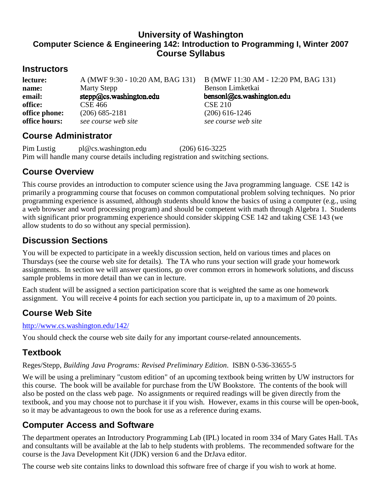### **University of Washington Computer Science & Engineering 142: Introduction to Programming I, Winter 2007 Course Syllabus**

### **Instructors**

**lecture:** A (MWF 9:30 - 10:20 AM, BAG 131) B (MWF 11:30 AM - 12:20 PM, BAG 131) **name:** Marty Stepp Benson Limketkai<br> **email:** stepp@cs.washington.edu bensonl@cs.washington.edu **email: office:** CSE 466 CSE 210 **office phone:** (206) 685-2181 (206) 616-1246 **office hours:** *see course web site see course web site see course web site* 

### **Course Administrator**

Pim Lustig pl@cs.washington.edu (206) 616-3225 Pim will handle many course details including registration and switching sections.

### **Course Overview**

This course provides an introduction to computer science using the Java programming language. CSE 142 is primarily a programming course that focuses on common computational problem solving techniques. No prior programming experience is assumed, although students should know the basics of using a computer (e.g., using a web browser and word processing program) and should be competent with math through Algebra 1. Students with significant prior programming experience should consider skipping CSE 142 and taking CSE 143 (we allow students to do so without any special permission).

## **Discussion Sections**

You will be expected to participate in a weekly discussion section, held on various times and places on Thursdays (see the course web site for details). The TA who runs your section will grade your homework assignments. In section we will answer questions, go over common errors in homework solutions, and discuss sample problems in more detail than we can in lecture.

Each student will be assigned a section participation score that is weighted the same as one homework assignment. You will receive 4 points for each section you participate in, up to a maximum of 20 points.

## **Course Web Site**

http://www.cs.washington.edu/142/

You should check the course web site daily for any important course-related announcements.

## **Textbook**

#### Reges/Stepp, *Building Java Programs: Revised Preliminary Edition*. ISBN 0-536-33655-5

We will be using a preliminary "custom edition" of an upcoming textbook being written by UW instructors for this course. The book will be available for purchase from the UW Bookstore. The contents of the book will also be posted on the class web page. No assignments or required readings will be given directly from the textbook, and you may choose not to purchase it if you wish. However, exams in this course will be open-book, so it may be advantageous to own the book for use as a reference during exams.

## **Computer Access and Software**

The department operates an Introductory Programming Lab (IPL) located in room 334 of Mary Gates Hall. TAs and consultants will be available at the lab to help students with problems. The recommended software for the course is the Java Development Kit (JDK) version 6 and the DrJava editor.

The course web site contains links to download this software free of charge if you wish to work at home.